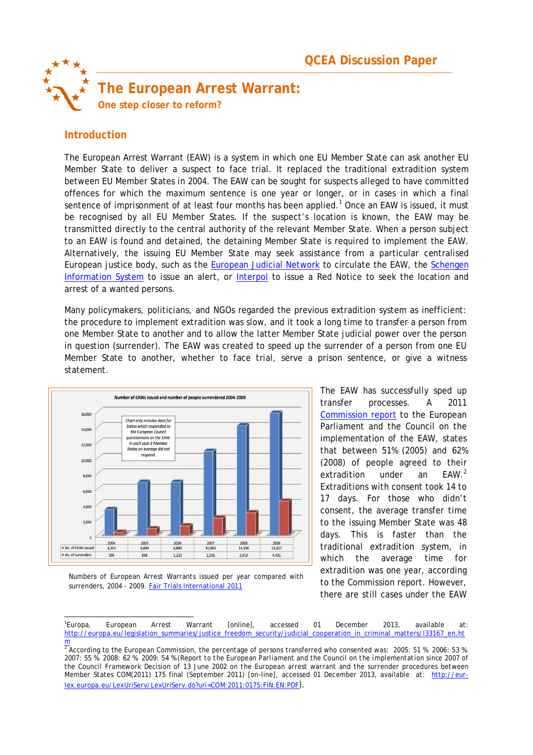

# **Introduction**

The European Arrest Warrant (EAW) is a system in which one EU Member State can ask another EU Member State to deliver a suspect to face trial. It replaced the traditional extradition system between EU Member States in 2004. The EAW can be sought for suspects alleged to have committed offences for which the maximum sentence is one year or longer, or in cases in which a final sentence of imprisonment of at least four months has been applied.<sup>1</sup> Once an EAW is issued, it must be recognised by all EU Member States. If the suspect's location is known, the EAW may be transmitted directly to the central authority of the relevant Member State. When a person subject to an EAW is found and detained, the detaining Member State is required to implement the EAW. Alternatively, the issuing EU Member State may seek assistance from a particular centralised European justice body, such as the European Judicial Network to circulate the EAW, the Schengen Information System to issue an alert, or Interpol to issue a Red Notice to seek the location and arrest of a wanted persons.

Many policymakers, politicians, and NGOs regarded the previous extradition system as inefficient: the procedure to implement extradition was slow, and it took a long time to transfer a person from one Member State to another and to allow the latter Member State judicial power over the person in question (surrender). The EAW was created to speed up the surrender of a person from one EU Member State to another, whether to face trial, serve a prison sentence, or give a witness statement.



The EAW has successfully sped up transfer processes. A 2011 Commission report to the European Parliament and the Council on the implementation of the EAW, states that between 51% (2005) and 62% (2008) of people agreed to their extradition under an EAW.<sup>2</sup> Extraditions with consent took 14 to 17 days. For those who didn't consent, the average transfer time to the issuing Member State was 48 days. This is faster than the traditional extradition system, in which the average time for extradition was one year, according to the Commission report. However, there are still cases under the EAW

Numbers of European Arrest Warrants issued per year compared with surrenders, 2004 - 2009. Fair Trials International 2011

l  $1$ Europa. Europa, *European Arrest Warrant* [online], accessed 01 December 2013, available at: http://europa.eu/legislation\_summaries/justice\_freedom\_security/judicial\_cooperation\_in\_criminal\_matters/l33167\_en.ht

<sup>&</sup>lt;mark>m</mark><br><sup>2</sup> According to the European Commission, the percentage of persons transferred who consented was: 2005: 51 %. 2006: 53 %. 2007: 55 %. 2008: 62 %. 2009: 54 % (*Report to the European Parliament and the Council on the implementation since 2007 of the Council Framework Decision of 13 June 2002 on the European arrest warrant and the surrender procedures between Member States* COM(2011) 175 final (September 2011) [on-line], accessed 01 December 2013, available at: http://eurlex.europa.eu/LexUriServ/LexUriServ.do?uri=COM:2011:0175:FIN:EN:PDF).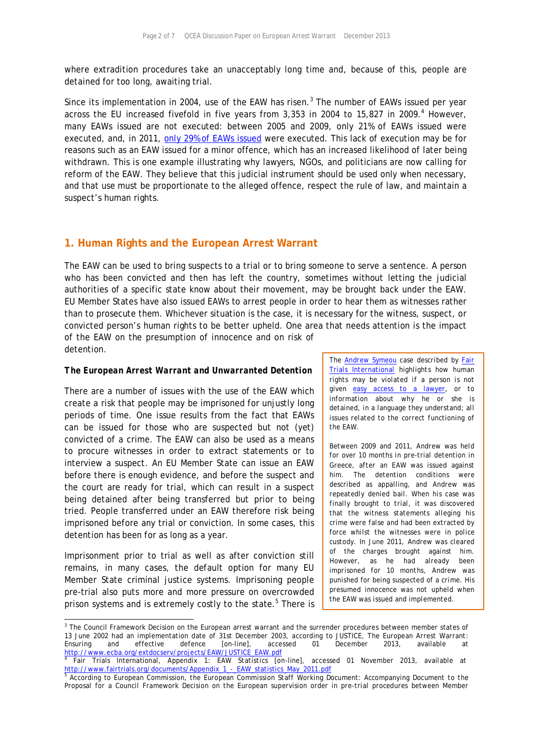where extradition procedures take an unacceptably long time and, because of this, people are detained for too long, awaiting trial.

Since its implementation in 2004, use of the EAW has risen. $^3$  The number of EAWs issued per year across the EU increased fivefold in five years from 3,353 in 2004 to 15,827 in 2009. $4$  However, many EAWs issued are not executed: between 2005 and 2009, only 21% of EAWs issued were executed, and, in 2011, only 29% of EAWs issued were executed. This lack of execution may be for reasons such as an EAW issued for a minor offence, which has an increased likelihood of later being withdrawn. This is one example illustrating why lawyers, NGOs, and politicians are now calling for reform of the EAW. They believe that this judicial instrument should be used only when necessary, and that use must be proportionate to the alleged offence, respect the rule of law, and maintain a suspect's human rights.

## **1. Human Rights and the European Arrest Warrant**

The EAW can be used to bring suspects to a trial or to bring someone to serve a sentence. A person who has been convicted and then has left the country, sometimes without letting the judicial authorities of a specific state know about their movement, may be brought back under the EAW. EU Member States have also issued EAWs to arrest people in order to hear them as witnesses rather than to prosecute them. Whichever situation is the case, it is necessary for the witness, suspect, or convicted person's human rights to be better upheld. One area that needs attention is the impact of the EAW on the presumption of innocence and on risk of detention.

#### *The European Arrest Warrant and Unwarranted Detention*

There are a number of issues with the use of the EAW which create a risk that people may be imprisoned for unjustly long periods of time. One issue results from the fact that EAWs can be issued for those who are suspected but not (yet) convicted of a crime. The EAW can also be used as a means to procure witnesses in order to extract statements or to interview a suspect. An EU Member State can issue an EAW before there is enough evidence, and before the suspect and the court are ready for trial, which can result in a suspect being detained after being transferred but prior to being tried. People transferred under an EAW therefore risk being imprisoned before any trial or conviction. In some cases, this detention has been for as long as a year.

Imprisonment prior to trial as well as after conviction still remains, in many cases, the default option for many EU Member State criminal justice systems. Imprisoning people pre-trial also puts more and more pressure on overcrowded prison systems and is extremely costly to the state.<sup>5</sup> There is

*The Andrew Symeou case described by Fair Trials International highlights how human rights may be violated if a person is not given easy access to a lawyer, or to information about why he or she is detained, in a language they understand; all issues related to the correct functioning of the EAW.*

*Between 2009 and 2011, Andrew was held for over 10 months in pre-trial detention in Greece, after an EAW was issued against him. The detention conditions were described as appalling, and Andrew was repeatedly denied bail. When his case was finally brought to trial, it was discovered that the witness statements alleging his crime were false and had been extracted by force whilst the witnesses were in police custody. In June 2011, Andrew was cleared of the charges brought against him. However, as he had already been imprisoned for 10 months, Andrew was punished for being suspected of a crime. His presumed innocence was not upheld when the EAW was issued and implemented.*

 3 The Council Framework Decision on the European arrest warrant and the surrender procedures between member states of 13 June 2002 had an implementation date of 31st December 2003, according to JUSTICE, *The European Arrest Warrant: Ensuring and effective defence* [on-line], accessed 01 December 2013, available at http://www.ecba.org/extdocserv/projects/EAW/JUSTICE\_EAW.pdf

<sup>4</sup> Fair Trials International, *Appendix 1: EAW Statistics* [on-line], accessed 01 November 2013, available at http://www.fairtrials.org/documents/Appendix\_1\_-\_EAW\_statistics\_May\_2011.pdf<br><sup>5</sup> According to European Commission , the European Commission Staff Working D

According to European Commission, *the European Commission Staff Working Document: Accompanying Document to the Proposal for a Council Framework Decision on the European supervision order in pre-trial procedures between Member*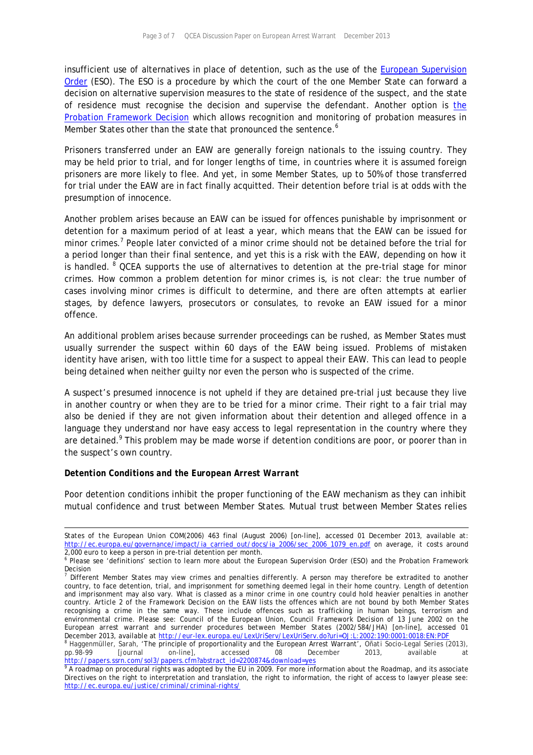insufficient use of alternatives in place of detention, such as the use of the **European Supervision** Order (ESO). The ESO is a procedure by which the court of the one Member State can forward a decision on alternative supervision measures to the state of residence of the suspect, and the state of residence must recognise the decision and supervise the defendant. Another option is the Probation Framework Decision which allows recognition and monitoring of probation measures in Member States other than the state that pronounced the sentence.<sup>6</sup>

Prisoners transferred under an EAW are generally foreign nationals to the issuing country. They may be held prior to trial, and for longer lengths of time, in countries where it is assumed foreign prisoners are more likely to flee. And yet, in some Member States, up to 50% of those transferred for trial under the EAW are in fact finally acquitted. Their detention before trial is at odds with the presumption of innocence.

Another problem arises because an EAW can be issued for offences punishable by imprisonment or detention for a maximum period of at least a year, which means that the EAW can be issued for minor crimes.<sup>7</sup> People later convicted of a minor crime should not be detained before the trial for a period longer than their final sentence, and yet this is a risk with the EAW, depending on how it is handled. <sup>8</sup> QCEA supports the use of alternatives to detention at the pre-trial stage for minor crimes. How common a problem detention for minor crimes is, is not clear: the true number of cases involving minor crimes is difficult to determine, and there are often attempts at earlier stages, by defence lawyers, prosecutors or consulates, to revoke an EAW issued for a minor offence.

An additional problem arises because surrender proceedings can be rushed, as Member States must usually surrender the suspect within 60 days of the EAW being issued. Problems of mistaken identity have arisen, with too little time for a suspect to appeal their EAW. This can lead to people being detained when neither guilty nor even the person who is suspected of the crime.

A suspect's presumed innocence is not upheld if they are detained pre-trial just because they live in another country or when they are to be tried for a minor crime. Their right to a fair trial may also be denied if they are not given information about their detention and alleged offence in a language they understand nor have easy access to legal representation in the country where they are detained.<sup>9</sup> This problem may be made worse if detention conditions are poor, or poorer than in the suspect's own country.

#### *Detention Conditions and the European Arrest Warrant*

Poor detention conditions inhibit the proper functioning of the EAW mechanism as they can inhibit mutual confidence and trust between Member States. Mutual trust between Member States relies

l *States of the European Union* COM(2006) 463 final (August 2006) [on-line], accessed 01 December 2013, available at: http://ec.europa.eu/governance/impact/ia\_carried\_out/docs/ia\_2006/sec\_2006\_1079\_en.pdf on average, it costs around 2,000 euro to keep a person in pre-trial detention per month.

<sup>&</sup>lt;sup>6</sup> Please see 'definitions' section to learn more about the European Supervision Order (ESO) and the Probation Framework Decision

<sup>7</sup> Different Member States may view crimes and penalties differently. A person may therefore be extradited to another country, to face detention, trial, and imprisonment for something deemed legal in their home country. Length of detention and imprisonment may also vary. What is classed as a minor crime in one country could hold heavier penalties in another country. Article 2 of the Framework Decision on the EAW lists the offences which are not bound by both Member States recognising a crime in the same way. These include offences such as trafficking in human beings, terrorism and environmental crime. Please see: Council of the European Union, *Council Framework Decision of 13 June 2002 on the European arrest warrant and surrender procedures between Member States* (2002/584/JHA) [on-line], accessed 01

December 2013, available at <u>http://eur-lex.europa.eu/LexUriServ/LexUriServ.do?uri=OJ:L:2002:190:0001:0018:EN:PDF</u><br><sup>8</sup> Haggenmüller, Sarah, 'The principle of proportionality and the European Arrest Warrant', *Oñati Socio-L* pp.98-99 [journal on-line], accessed 08 December 2013, available at

http://papers.ssrn.com/sol3/papers.cfm?abstract\_id=2200874&download=yes<br>° A roadmap on procedural rights was adopted by the EU in 2009. For more information about the Roadmap, and its associate Directives on the right to interpretation and translation, the right to information, the right of access to lawyer please see: http://ec.europa.eu/justice/criminal/criminal-rights/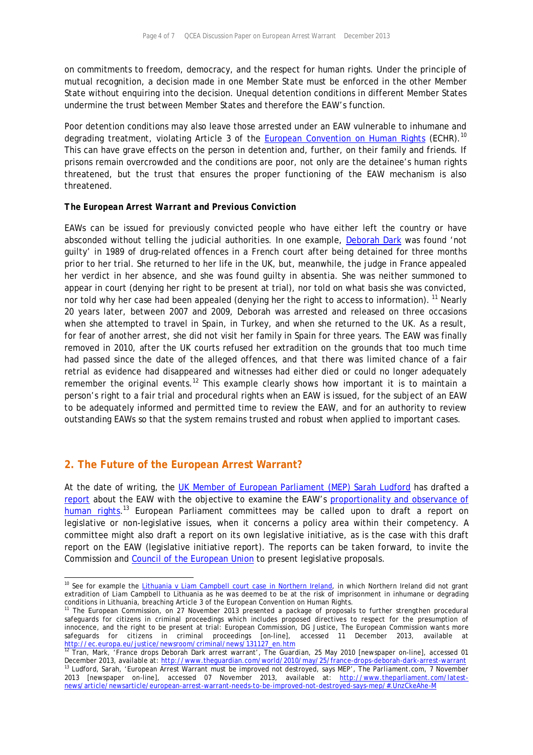on commitments to freedom, democracy, and the respect for human rights. Under the principle of mutual recognition, a decision made in one Member State must be enforced in the other Member State without enquiring into the decision. Unequal detention conditions in different Member States undermine the trust between Member States and therefore the EAW's function.

Poor detention conditions may also leave those arrested under an EAW vulnerable to inhumane and degrading treatment, violating Article 3 of the European Convention on Human Rights (ECHR).<sup>10</sup> This can have grave effects on the person in detention and, further, on their family and friends. If prisons remain overcrowded and the conditions are poor, not only are the detainee's human rights threatened, but the trust that ensures the proper functioning of the EAW mechanism is also threatened.

#### *The European Arrest Warrant and Previous Conviction*

EAWs can be issued for previously convicted people who have either left the country or have absconded without telling the judicial authorities. In one example, Deborah Dark was found 'not guilty' in 1989 of drug-related offences in a French court after being detained for three months prior to her trial. She returned to her life in the UK, but, meanwhile, the judge in France appealed her verdict in her absence, and she was found guilty in absentia. She was neither summoned to appear in court (denying her right to be present at trial), nor told on what basis she was convicted, nor told why her case had been appealed (denying her the right to access to information). <sup>11</sup> Nearly 20 years later, between 2007 and 2009, Deborah was arrested and released on three occasions when she attempted to travel in Spain, in Turkey, and when she returned to the UK. As a result, for fear of another arrest, she did not visit her family in Spain for three years. The EAW was finally removed in 2010, after the UK courts refused her extradition on the grounds that too much time had passed since the date of the alleged offences, and that there was limited chance of a fair retrial as evidence had disappeared and witnesses had either died or could no longer adequately remember the original events.<sup>12</sup> This example clearly shows how important it is to maintain a person's right to a fair trial and procedural rights when an EAW is issued, for the subject of an EAW to be adequately informed and permitted time to review the EAW, and for an authority to review outstanding EAWs so that the system remains trusted and robust when applied to important cases.

## **2. The Future of the European Arrest Warrant?**

-

At the date of writing, the UK Member of European Parliament (MEP) Sarah Ludford has drafted a report about the EAW with the objective to examine the EAW's proportionality and observance of human rights.<sup>13</sup> European Parliament committees may be called upon to draft a report on legislative or non-legislative issues, when it concerns a policy area within their competency. A committee might also draft a report on its own legislative initiative, as is the case with this draft report on the EAW (legislative initiative report). The reports can be taken forward, to invite the Commission and Council of the European Union to present legislative proposals.

<sup>&</sup>lt;sup>10</sup> See for example the *Lithuania v Liam Campbell court case in Northern Ireland*, in which Northern Ireland did not grant extradition of Liam Campbell to Lithuania as he was deemed to be at the risk of imprisonment in inhumane or degrading conditions in Lithuania, breaching Article 3 of the European Convention on Human Rights.

<sup>&</sup>lt;sup>11</sup> The European Commission, on 27 November 2013 presented a package of proposals to further strengthen procedural safeguards for citizens in criminal proceedings which includes proposed directives to respect for the presumption of innocence, and the right to be present at trial: European Commission, DG Justice, *The European Commission wants more safeguards for citizens in criminal proceedings* [on-line], accessed 11 December 2013, available at http://ec.europa.eu/justice/newsroom/criminal/news/131127\_en.htm <sup>12</sup> Tran, Mark, 'France drops Deborah Dark arrest warrant', *The Guardian*, 25 May 2010 [newspaper on-line], accessed 01

December 2013, available at: <u>http://www.thequardian.com/world/2010/may/25/france-drops-deborah-dark-arrest-warrant</u> <sup>13</sup> Ludford, Sarah, 'European Arrest Warrant must be improved not destroyed, says MEP', *The Parliament.com*, 7 November 2013 [newspaper on-line], accessed 07 November 2013, available at: http://www.theparliament.com/latestnews/article/newsarticle/european-arrest-warrant-needs-to-be-improved-not-destroyed-says-mep/#.UnzCkeAhe-M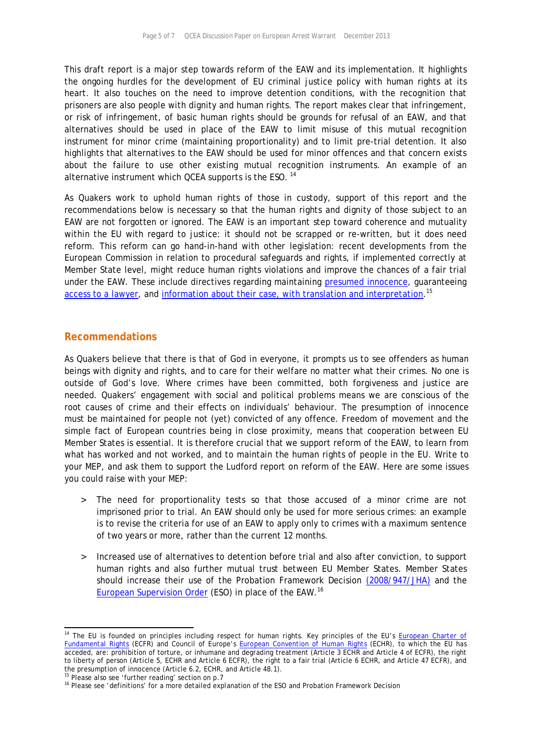This draft report is a major step towards reform of the EAW and its implementation. It highlights the ongoing hurdles for the development of EU criminal justice policy with human rights at its heart. It also touches on the need to improve detention conditions, with the recognition that prisoners are also people with dignity and human rights. The report makes clear that infringement, or risk of infringement, of basic human rights should be grounds for refusal of an EAW, and that alternatives should be used in place of the EAW to limit misuse of this mutual recognition instrument for minor crime (maintaining proportionality) and to limit pre-trial detention. It also highlights that alternatives to the EAW should be used for minor offences and that concern exists about the failure to use other existing mutual recognition instruments. An example of an alternative instrument which QCEA supports is the ESO.  $^{14}$ 

As Quakers work to uphold human rights of those in custody, support of this report and the recommendations below is necessary so that the human rights and dignity of those subject to an EAW are not forgotten or ignored. The EAW is an important step toward coherence and mutuality within the EU with regard to justice: it should not be scrapped or re-written, but it does need reform. This reform can go hand-in-hand with other legislation: recent developments from the European Commission in relation to procedural safeguards and rights, if implemented correctly at Member State level, might reduce human rights violations and improve the chances of a fair trial under the EAW. These include directives regarding maintaining presumed innocence, guaranteeing access to a lawyer, and information about their case, with translation and interpretation.<sup>15</sup>

### **Recommendations**

As Quakers believe that there is that of God in everyone, it prompts us to see offenders as human beings with dignity and rights, and to care for their welfare no matter what their crimes. No one is outside of God's love. Where crimes have been committed, both forgiveness and justice are needed. Quakers' engagement with social and political problems means we are conscious of the root causes of crime and their effects on individuals' behaviour. The presumption of innocence must be maintained for people not (yet) convicted of any offence. Freedom of movement and the simple fact of European countries being in close proximity, means that cooperation between EU Member States is essential. It is therefore crucial that we support reform of the EAW, to learn from what has worked and not worked, and to maintain the human rights of people in the EU. Write to your MEP, and ask them to support the Ludford report on reform of the EAW. Here are some issues you could raise with your MEP:

- > The need for proportionality tests so that those accused of a minor crime are not imprisoned prior to trial. An EAW should only be used for more serious crimes: an example is to revise the criteria for use of an EAW to apply only to crimes with a maximum sentence of two years or more, rather than the current 12 months.
- > Increased use of alternatives to detention before trial and also after conviction, to support human rights and also further mutual trust between EU Member States. Member States should increase their use of the Probation Framework Decision (2008/947/JHA) and the European Supervision Order</u> (ESO) in place of the EAW.<sup>16</sup>

-

<sup>&</sup>lt;sup>14</sup> The EU is founded on principles including respect for human rights. Key principles of the EU's European Charter of Fundamental Rights (ECFR) and Council of Europe's European Convention of Human Rights (ECHR), to which the EU has acceded, are: prohibition of torture, or inhumane and degrading treatment (Article 3 ECHR and Article 4 of ECFR), the right to liberty of person (Article 5, ECHR and Article 6 ECFR), the right to a fair trial (Article 6 ECHR, and Article 47 ECFR), and the presumption of innocence (Article 6.2, ECHR, and Article 48.1).

<sup>&</sup>lt;sup>15</sup> Please also see 'further reading' section on p.7

<sup>&</sup>lt;sup>16</sup> Please see 'definitions' for a more detailed explanation of the ESO and Probation Framework Decision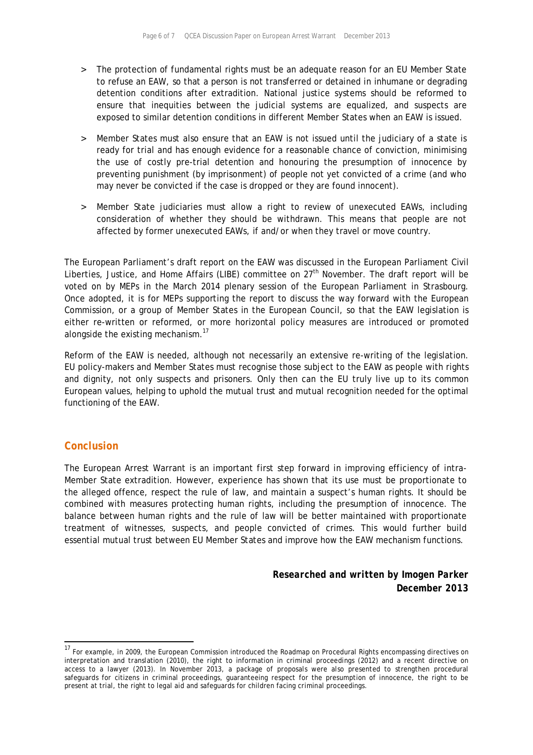- > The protection of fundamental rights must be an adequate reason for an EU Member State to refuse an EAW, so that a person is not transferred or detained in inhumane or degrading detention conditions after extradition. National justice systems should be reformed to ensure that inequities between the judicial systems are equalized, and suspects are exposed to similar detention conditions in different Member States when an EAW is issued.
- > Member States must also ensure that an EAW is not issued until the judiciary of a state is ready for trial and has enough evidence for a reasonable chance of conviction, minimising the use of costly pre-trial detention and honouring the presumption of innocence by preventing punishment (by imprisonment) of people not yet convicted of a crime (and who may never be convicted if the case is dropped or they are found innocent).
- > Member State judiciaries must allow a right to review of unexecuted EAWs, including consideration of whether they should be withdrawn. This means that people are not affected by former unexecuted EAWs, if and/or when they travel or move country.

The European Parliament's draft report on the EAW was discussed in the European Parliament Civil Liberties, Justice, and Home Affairs (LIBE) committee on 27<sup>th</sup> November. The draft report will be voted on by MEPs in the March 2014 plenary session of the European Parliament in Strasbourg. Once adopted, it is for MEPs supporting the report to discuss the way forward with the European Commission, or a group of Member States in the European Council, so that the EAW legislation is either re-written or reformed, or more horizontal policy measures are introduced or promoted alongside the existing mechanism.<sup>17</sup>

Reform of the EAW is needed, although not necessarily an extensive re-writing of the legislation. EU policy-makers and Member States must recognise those subject to the EAW as people with rights and dignity, not only suspects and prisoners. Only then can the EU truly live up to its common European values, helping to uphold the mutual trust and mutual recognition needed for the optimal functioning of the EAW.

## *Conclusion*

l

The European Arrest Warrant is an important first step forward in improving efficiency of intra-Member State extradition. However, experience has shown that its use must be proportionate to the alleged offence, respect the rule of law, and maintain a suspect's human rights. It should be combined with measures protecting human rights, including the presumption of innocence. The balance between human rights and the rule of law will be better maintained with proportionate treatment of witnesses, suspects, and people convicted of crimes. This would further build essential mutual trust between EU Member States and improve how the EAW mechanism functions.

> *Researched and written by Imogen Parker December 2013*

<sup>&</sup>lt;sup>17</sup> For example, in 2009, the European Commission introduced the Roadmap on Procedural Rights encompassing directives on interpretation and translation (2010), the right to information in criminal proceedings (2012) and a recent directive on access to a lawyer (2013). In November 2013, a package of proposals were also presented to strengthen procedural safeguards for citizens in criminal proceedings, guaranteeing respect for the presumption of innocence, the right to be present at trial, the right to legal aid and safeguards for children facing criminal proceedings.